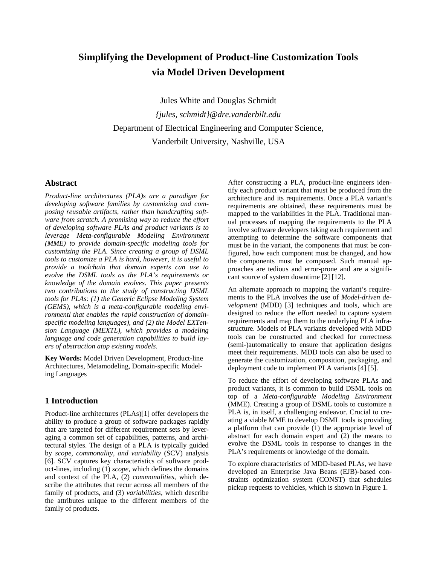# **Simplifying the Development of Product-line Customization Tools via Model Driven Development**

Jules White and Douglas Schmidt *{jules, schmidt}@dre.vanderbilt.edu*  Department of Electrical Engineering and Computer Science, Vanderbilt University, Nashville, USA

### **Abstract**

*Product-line architectures (PLA)s are a paradigm for developing software families by customizing and composing reusable artifacts, rather than handcrafting software from scratch. A promising way to reduce the effort of developing software PLAs and product variants is to leverage Meta-configurable Modeling Environment (MME) to provide domain-specific modeling tools for customizing the PLA. Since creating a group of DSML tools to customize a PLA is hard, however, it is useful to provide a toolchain that domain experts can use to evolve the DSML tools as the PLA's requirements or knowledge of the domain evolves. This paper presents two contributions to the study of constructing DSML tools for PLAs: (1) the Generic Eclipse Modeling System (GEMS), which is a meta-configurable modeling environmentl that enables the rapid construction of domainspecific modeling languages), and (2) the Model EXTension Language (MEXTL), which provides a modeling language and code generation capabilities to build layers of abstraction atop existing models.* 

**Key Words:** Model Driven Development, Product-line Architectures, Metamodeling, Domain-specific Modeling Languages

### **1 Introduction**

Product-line architectures (PLAs)[1] offer developers the ability to produce a group of software packages rapidly that are targeted for different requirement sets by leveraging a common set of capabilities, patterns, and architectural styles. The design of a PLA is typically guided by *scope, commonality, and variability* (SCV) analysis [6]. SCV captures key characteristics of software product-lines, including (1) *scope*, which defines the domains and context of the PLA, (2) *commonalities*, which describe the attributes that recur across all members of the family of products, and (3) *variabilities*, which describe the attributes unique to the different members of the family of products.

After constructing a PLA, product-line engineers identify each product variant that must be produced from the architecture and its requirements. Once a PLA variant's requirements are obtained, these requirements must be mapped to the variabilities in the PLA. Traditional manual processes of mapping the requirements to the PLA involve software developers taking each requirement and attempting to determine the software components that must be in the variant, the components that must be configured, how each component must be changed, and how the components must be composed. Such manual approaches are tedious and error-prone and are a significant source of system downtime [2] [12].

An alternate approach to mapping the variant's requirements to the PLA involves the use of *Model-driven development* (MDD) [3] techniques and tools, which are designed to reduce the effort needed to capture system requirements and map them to the underlying PLA infrastructure. Models of PLA variants developed with MDD tools can be constructed and checked for correctness (semi-)automatically to ensure that application designs meet their requirements. MDD tools can also be used to generate the customization, composition, packaging, and deployment code to implement PLA variants [4] [5].

To reduce the effort of developing software PLAs and product variants, it is common to build DSML tools on top of a *Meta-configurable Modeling Environment*  (MME). Creating a group of DSML tools to customize a PLA is, in itself, a challenging endeavor. Crucial to creating a viable MME to develop DSML tools is providing a platform that can provide (1) the appropriate level of abstract for each domain expert and (2) the means to evolve the DSML tools in response to changes in the PLA's requirements or knowledge of the domain.

To explore characteristics of MDD-based PLAs, we have developed an Enterprise Java Beans (EJB)-based constraints optimization system (CONST) that schedules pickup requests to vehicles, which is shown in Figure 1.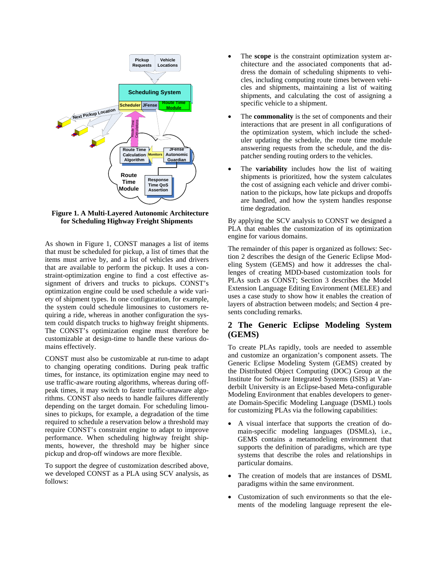

**Figure 1. A Multi-Layered Autonomic Architecture for Scheduling Highway Freight Shipments** 

As shown in Figure 1, CONST manages a list of items that must be scheduled for pickup, a list of times that the items must arrive by, and a list of vehicles and drivers that are available to perform the pickup. It uses a constraint-optimization engine to find a cost effective assignment of drivers and trucks to pickups. CONST's optimization engine could be used schedule a wide variety of shipment types. In one configuration, for example, the system could schedule limousines to customers requiring a ride, whereas in another configuration the system could dispatch trucks to highway freight shipments. The CONST's optimization engine must therefore be customizable at design-time to handle these various domains effectively.

CONST must also be customizable at run-time to adapt to changing operating conditions. During peak traffic times, for instance, its optimization engine may need to use traffic-aware routing algorithms, whereas during offpeak times, it may switch to faster traffic-unaware algorithms. CONST also needs to handle failures differently depending on the target domain. For scheduling limousines to pickups, for example, a degradation of the time required to schedule a reservation below a threshold may require CONST's constraint engine to adapt to improve performance. When scheduling highway freight shipments, however, the threshold may be higher since pickup and drop-off windows are more flexible.

To support the degree of customization described above, we developed CONST as a PLA using SCV analysis, as follows:

- The **scope** is the constraint optimization system architecture and the associated components that address the domain of scheduling shipments to vehicles, including computing route times between vehicles and shipments, maintaining a list of waiting shipments, and calculating the cost of assigning a specific vehicle to a shipment.
- The **commonality** is the set of components and their interactions that are present in all configurations of the optimization system, which include the scheduler updating the schedule, the route time module answering requests from the schedule, and the dispatcher sending routing orders to the vehicles.
- The **variability** includes how the list of waiting shipments is prioritized, how the system calculates the cost of assigning each vehicle and driver combination to the pickups, how late pickups and dropoffs are handled, and how the system handles response time degradation.

By applying the SCV analysis to CONST we designed a PLA that enables the customization of its optimization engine for various domains.

The remainder of this paper is organized as follows: Section 2 describes the design of the Generic Eclipse Modeling System (GEMS) and how it addresses the challenges of creating MDD-based customization tools for PLAs such as CONST; Section 3 describes the Model Extension Language Editing Environment (MELEE) and uses a case study to show how it enables the creation of layers of abstraction between models; and Section 4 presents concluding remarks.

### **2 The Generic Eclipse Modeling System (GEMS)**

To create PLAs rapidly, tools are needed to assemble and customize an organization's component assets. The Generic Eclipse Modeling System (GEMS) created by the Distributed Object Computing (DOC) Group at the Institute for Software Integrated Systems (ISIS) at Vanderbilt University is an Eclipse-based Meta-configurable Modeling Environment that enables developers to generate Domain-Specific Modeling Language (DSML) tools for customizing PLAs via the following capabilities:

- A visual interface that supports the creation of domain-specific modeling languages (DSMLs), i.e., GEMS contains a metamodeling environment that supports the definition of paradigms, which are type systems that describe the roles and relationships in particular domains.
- The creation of models that are instances of DSML paradigms within the same environment.
- Customization of such environments so that the elements of the modeling language represent the ele-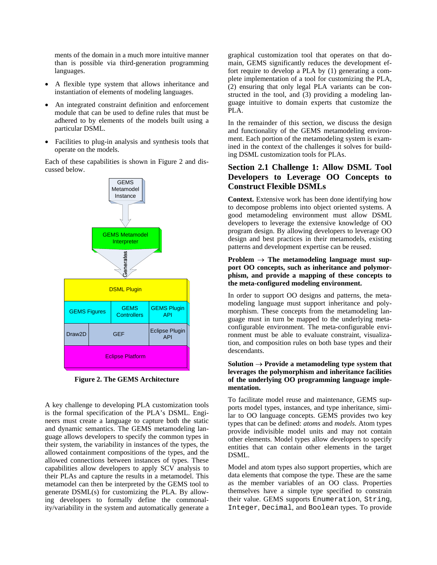ments of the domain in a much more intuitive manner than is possible via third-generation programming languages.

- A flexible type system that allows inheritance and instantiation of elements of modeling languages.
- An integrated constraint definition and enforcement module that can be used to define rules that must be adhered to by elements of the models built using a particular DSML.
- Facilities to plug-in analysis and synthesis tools that operate on the models.

Each of these capabilities is shown in Figure 2 and discussed below.



**Figure 2. The GEMS Architecture** 

A key challenge to developing PLA customization tools is the formal specification of the PLA's DSML. Engineers must create a language to capture both the static and dynamic semantics. The GEMS metamodeling language allows developers to specify the common types in their system, the variability in instances of the types, the allowed containment compositions of the types, and the allowed connections between instances of types. These capabilities allow developers to apply SCV analysis to their PLAs and capture the results in a metamodel. This metamodel can then be interpreted by the GEMS tool to generate DSML(s) for customizing the PLA. By allowing developers to formally define the commonality/variability in the system and automatically generate a

graphical customization tool that operates on that domain, GEMS significantly reduces the development effort require to develop a PLA by (1) generating a complete implementation of a tool for customizing the PLA, (2) ensuring that only legal PLA variants can be constructed in the tool, and (3) providing a modeling language intuitive to domain experts that customize the PLA.

In the remainder of this section, we discuss the design and functionality of the GEMS metamodeling environment. Each portion of the metamodeling system is examined in the context of the challenges it solves for building DSML customization tools for PLAs.

## **Section 2.1 Challenge 1: Allow DSML Tool Developers to Leverage OO Concepts to Construct Flexible DSMLs**

**Context.** Extensive work has been done identifying how to decompose problems into object oriented systems. A good metamodeling environment must allow DSML developers to leverage the extensive knowledge of OO program design. By allowing developers to leverage OO design and best practices in their metamodels, existing patterns and development expertise can be reused.

#### **Problem**  $\rightarrow$  **The metamodeling language must support OO concepts, such as inheritance and polymorphism, and provide a mapping of these concepts to the meta-configured modeling environment.**

In order to support OO designs and patterns, the metamodeling language must support inheritance and polymorphism. These concepts from the metamodeling language must in turn be mapped to the underlying metaconfigurable environment. The meta-configurable environment must be able to evaluate constraint, visualization, and composition rules on both base types and their descendants.

#### **Solution**  $\rightarrow$  **Provide a metamodeling type system that leverages the polymorphism and inheritance facilities of the underlying OO programming language implementation.**

To facilitate model reuse and maintenance, GEMS supports model types, instances, and type inheritance, similar to OO language concepts. GEMS provides two key types that can be defined: *atoms* and *models*. Atom types provide indivisible model units and may not contain other elements. Model types allow developers to specify entities that can contain other elements in the target DSML.

Model and atom types also support properties, which are data elements that compose the type. These are the same as the member variables of an OO class. Properties themselves have a simple type specified to constrain their value. GEMS supports Enumeration, String, Integer, Decimal, and Boolean types. To provide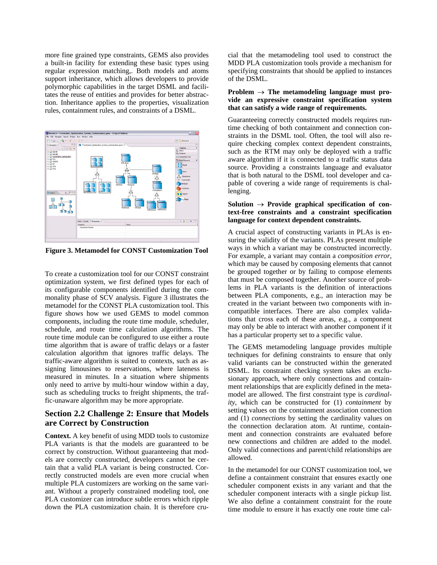more fine grained type constraints, GEMS also provides a built-in facility for extending these basic types using regular expression matching,. Both models and atoms support inheritance, which allows developers to provide polymorphic capabilities in the target DSML and facilitates the reuse of entities and provides for better abstraction. Inheritance applies to the properties, visualization rules, containment rules, and constraints of a DSML.



**Figure 3. Metamodel for CONST Customization Tool**

To create a customization tool for our CONST constraint optimization system, we first defined types for each of its configurable components identified during the commonality phase of SCV analysis. Figure 3 illustrates the metamodel for the CONST PLA customization tool. This figure shows how we used GEMS to model common components, including the route time module, scheduler, schedule, and route time calculation algorithms. The route time module can be configured to use either a route time algorithm that is aware of traffic delays or a faster calculation algorithm that ignores traffic delays. The traffic-aware algorithm is suited to contexts, such as assigning limousines to reservations, where lateness is measured in minutes. In a situation where shipments only need to arrive by multi-hour window within a day, such as scheduling trucks to freight shipments, the traffic-unaware algorithm may be more appropriate.

### **Section 2.2 Challenge 2: Ensure that Models are Correct by Construction**

**Context.** A key benefit of using MDD tools to customize PLA variants is that the models are guaranteed to be correct by construction. Without guaranteeing that models are correctly constructed, developers cannot be certain that a valid PLA variant is being constructed. Correctly constructed models are even more crucial when multiple PLA customizers are working on the same variant. Without a properly constrained modeling tool, one PLA customizer can introduce subtle errors which ripple down the PLA customization chain. It is therefore crucial that the metamodeling tool used to construct the MDD PLA customization tools provide a mechanism for specifying constraints that should be applied to instances of the DSML.

#### **Problem**  $\rightarrow$  **The metamodeling language must provide an expressive constraint specification system that can satisfy a wide range of requirements.**

Guaranteeing correctly constructed models requires runtime checking of both containment and connection constraints in the DSML tool. Often, the tool will also require checking complex context dependent constraints, such as the RTM may only be deployed with a traffic aware algorithm if it is connected to a traffic status data source. Providing a constraints language and evaluator that is both natural to the DSML tool developer and capable of covering a wide range of requirements is challenging.

#### **Solution** → **Provide graphical specification of context-free constraints and a constraint specification language for context dependent constraints.**

A crucial aspect of constructing variants in PLAs is ensuring the validity of the variants. PLAs present multiple ways in which a variant may be constructed incorrectly. For example, a variant may contain a *composition error*, which may be caused by composing elements that cannot be grouped together or by failing to compose elements that must be composed together. Another source of problems in PLA variants is the definition of interactions between PLA components, e.g., an interaction may be created in the variant between two components with incompatible interfaces. There are also complex validations that cross each of these areas, e.g., a component may only be able to interact with another component if it has a particular property set to a specific value.

The GEMS metamodeling language provides multiple techniques for defining constraints to ensure that only valid variants can be constructed within the generated DSML. Its constraint checking system takes an exclusionary approach, where only connections and containment relationships that are explicitly defined in the metamodel are allowed. The first constraint type is *cardinality*, which can be constructed for (1) *containment* by setting values on the containment association connection and (1) *connections* by setting the cardinality values on the connection declaration atom. At runtime, containment and connection constraints are evaluated before new connections and children are added to the model. Only valid connections and parent/child relationships are allowed.

In the metamodel for our CONST customization tool, we define a containment constraint that ensures exactly one scheduler component exists in any variant and that the scheduler component interacts with a single pickup list. We also define a containment constraint for the route time module to ensure it has exactly one route time cal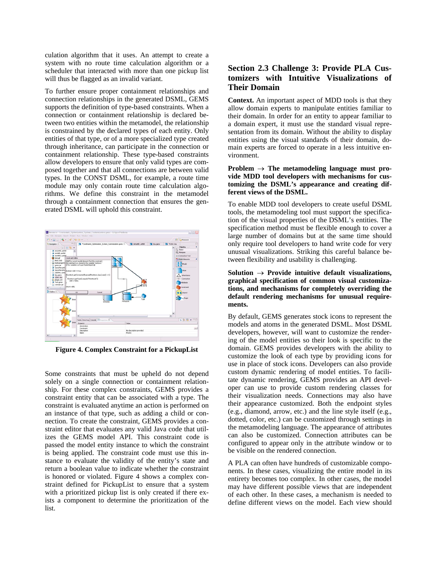culation algorithm that it uses. An attempt to create a system with no route time calculation algorithm or a scheduler that interacted with more than one pickup list will thus be flagged as an invalid variant.

To further ensure proper containment relationships and connection relationships in the generated DSML, GEMS supports the definition of type-based constraints. When a connection or containment relationship is declared between two entities within the metamodel, the relationship is constrained by the declared types of each entity. Only entities of that type, or of a more specialized type created through inheritance, can participate in the connection or containment relationship. These type-based constraints allow developers to ensure that only valid types are composed together and that all connections are between valid types. In the CONST DSML, for example, a route time module may only contain route time calculation algorithms. We define this constraint in the metamodel through a containment connection that ensures the generated DSML will uphold this constraint.



**Figure 4. Complex Constraint for a PickupList** 

Some constraints that must be upheld do not depend solely on a single connection or containment relationship. For these complex constraints, GEMS provides a constraint entity that can be associated with a type. The constraint is evaluated anytime an action is performed on an instance of that type, such as adding a child or connection. To create the constraint, GEMS provides a constraint editor that evaluates any valid Java code that utilizes the GEMS model API. This constraint code is passed the model entity instance to which the constraint is being applied. The constraint code must use this instance to evaluate the validity of the entity's state and return a boolean value to indicate whether the constraint is honored or violated. Figure 4 shows a complex constraint defined for PickupList to ensure that a system with a prioritized pickup list is only created if there exists a component to determine the prioritization of the list.

## **Section 2.3 Challenge 3: Provide PLA Customizers with Intuitive Visualizations of Their Domain**

**Context.** An important aspect of MDD tools is that they allow domain experts to manipulate entities familiar to their domain. In order for an entity to appear familiar to a domain expert, it must use the standard visual representation from its domain. Without the ability to display entities using the visual standards of their domain, domain experts are forced to operate in a less intuitive environment.

#### **Problem** → **The metamodeling language must provide MDD tool developers with mechanisms for customizing the DSML's appearance and creating different views of the DSML.**

To enable MDD tool developers to create useful DSML tools, the metamodeling tool must support the specification of the visual properties of the DSML's entities. The specification method must be flexible enough to cover a large number of domains but at the same time should only require tool developers to hand write code for very unusual visualizations. Striking this careful balance between flexibility and usability is challenging.

#### **Solution** → **Provide intuitive default visualizations, graphical specification of common visual customizations, and mechanisms for completely overriding the default rendering mechanisms for unusual requirements.**

By default, GEMS generates stock icons to represent the models and atoms in the generated DSML. Most DSML developers, however, will want to customize the rendering of the model entities so their look is specific to the domain. GEMS provides developers with the ability to customize the look of each type by providing icons for use in place of stock icons. Developers can also provide custom dynamic rendering of model entities. To facilitate dynamic rendering, GEMS provides an API developer can use to provide custom rendering classes for their visualization needs. Connections may also have their appearance customized. Both the endpoint styles (e.g., diamond, arrow, etc.) and the line style itself (e.g., dotted, color, etc.) can be customized through settings in the metamodeling language. The appearance of attributes can also be customized. Connection attributes can be configured to appear only in the attribute window or to be visible on the rendered connection.

A PLA can often have hundreds of customizable components. In these cases, visualizing the entire model in its entirety becomes too complex. In other cases, the model may have different possible views that are independent of each other. In these cases, a mechanism is needed to define different views on the model. Each view should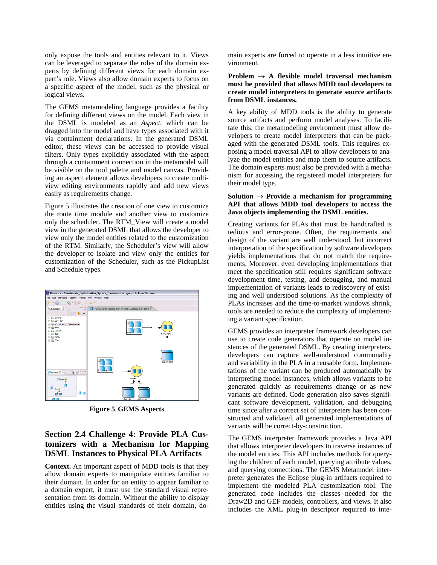only expose the tools and entities relevant to it. Views can be leveraged to separate the roles of the domain experts by defining different views for each domain expert's role. Views also allow domain experts to focus on a specific aspect of the model, such as the physical or logical views.

The GEMS metamodeling language provides a facility for defining different views on the model. Each view in the DSML is modeled as an *Aspect*, which can be dragged into the model and have types associated with it via containment declarations. In the generated DSML editor, these views can be accessed to provide visual filters. Only types explicitly associated with the aspect through a containment connection in the metamodel will be visible on the tool palette and model canvas. Providing an aspect element allows developers to create multiview editing environments rapidly and add new views easily as requirements change.

Figure 5 illustrates the creation of one view to customize the route time module and another view to customize only the scheduler. The RTM\_View will create a model view in the generated DSML that allows the developer to view only the model entities related to the customization of the RTM. Similarly, the Scheduler's view will allow the developer to isolate and view only the entities for customization of the Scheduler, such as the PickupList and Schedule types.



**Figure 5**. **GEMS Aspects**

# **Section 2.4 Challenge 4: Provide PLA Customizers with a Mechanism for Mapping DSML Instances to Physical PLA Artifacts**

**Context.** An important aspect of MDD tools is that they allow domain experts to manipulate entities familiar to their domain. In order for an entity to appear familiar to a domain expert, it must use the standard visual representation from its domain. Without the ability to display entities using the visual standards of their domain, domain experts are forced to operate in a less intuitive environment.

#### **Problem** → **A flexible model traversal mechanism must be provided that allows MDD tool developers to create model interpreters to generate source artifacts from DSML instances.**

A key ability of MDD tools is the ability to generate source artifacts and perform model analyses. To facilitate this, the metamodeling environment must allow developers to create model interpreters that can be packaged with the generated DSML tools. This requires exposing a model traversal API to allow developers to analyze the model entities and map them to source artifacts. The domain experts must also be provided with a mechanism for accessing the registered model interpreters for their model type.

#### Solution  $\rightarrow$  Provide a mechanism for programming **API that allows MDD tool developers to access the Java objects implementing the DSML entities.**

Creating variants for PLAs that must be handcrafted is tedious and error-prone. Often, the requirements and design of the variant are well understood, but incorrect interpretation of the specification by software developers yields implementations that do not match the requirements. Moreover, even developing implementations that meet the specification still requires significant software development time, testing, and debugging, and manual implementation of variants leads to rediscovery of existing and well understood solutions. As the complexity of PLAs increases and the time-to-market windows shrink, tools are needed to reduce the complexity of implementing a variant specification.

GEMS provides an interpreter framework developers can use to create code generators that operate on model instances of the generated DSML. By creating interpreters, developers can capture well-understood commonality and variability in the PLA in a reusable form. Implementations of the variant can be produced automatically by interpreting model instances, which allows variants to be generated quickly as requirements change or as new variants are defined. Code generation also saves significant software development, validation, and debugging time since after a correct set of interpreters has been constructed and validated, all generated implementations of variants will be correct-by-construction.

The GEMS interpreter framework provides a Java API that allows interpreter developers to traverse instances of the model entities. This API includes methods for querying the children of each model, querying attribute values, and querying connections. The GEMS Metamodel interpreter generates the Eclipse plug-in artifacts required to implement the modeled PLA customization tool. The generated code includes the classes needed for the Draw2D and GEF models, controllers, and views. It also includes the XML plug-in descriptor required to inte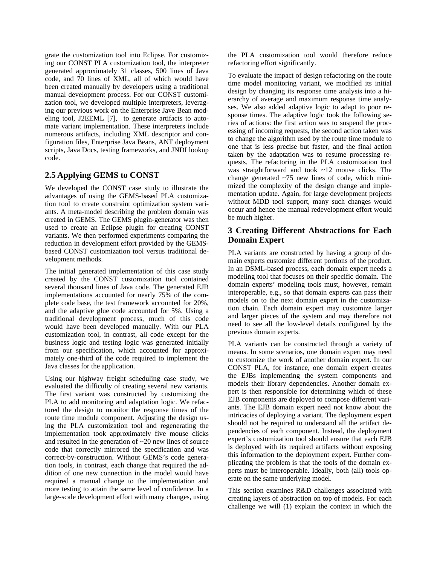grate the customization tool into Eclipse. For customizing our CONST PLA customization tool, the interpreter generated approximately 31 classes, 500 lines of Java code, and 70 lines of XML, all of which would have been created manually by developers using a traditional manual development process. For our CONST customization tool, we developed multiple interpreters, leveraging our previous work on the Enterprise Jave Bean modeling tool, J2EEML [7], to generate artifacts to automate variant implementation. These interpreters include numerous artifacts, including XML descriptor and configuration files, Enterprise Java Beans, ANT deployment scripts, Java Docs, testing frameworks, and JNDI lookup code.

# **2.5 Applying GEMS to CONST**

We developed the CONST case study to illustrate the advantages of using the GEMS-based PLA customization tool to create constraint optimization system variants. A meta-model describing the problem domain was created in GEMS. The GEMS plugin-generator was then used to create an Eclipse plugin for creating CONST variants. We then performed experiments comparing the reduction in development effort provided by the GEMSbased CONST customization tool versus traditional development methods.

The initial generated implementation of this case study created by the CONST customization tool contained several thousand lines of Java code. The generated EJB implementations accounted for nearly 75% of the complete code base, the test framework accounted for 20%, and the adaptive glue code accounted for 5%. Using a traditional development process, much of this code would have been developed manually. With our PLA customization tool, in contrast, all code except for the business logic and testing logic was generated initially from our specification, which accounted for approximately one-third of the code required to implement the Java classes for the application.

Using our highway freight scheduling case study, we evaluated the difficulty of creating several new variants. The first variant was constructed by customizing the PLA to add monitoring and adaptation logic. We refactored the design to monitor the response times of the route time module component. Adjusting the design using the PLA customization tool and regenerating the implementation took approximately five mouse clicks and resulted in the generation of ~20 new lines of source code that correctly mirrored the specification and was correct-by-construction. Without GEMS's code generation tools, in contrast, each change that required the addition of one new connection in the model would have required a manual change to the implementation and more testing to attain the same level of confidence. In a large-scale development effort with many changes, using

the PLA customization tool would therefore reduce refactoring effort significantly.

To evaluate the impact of design refactoring on the route time model monitoring variant, we modified its initial design by changing its response time analysis into a hierarchy of average and maximum response time analyses. We also added adaptive logic to adapt to poor response times. The adaptive logic took the following series of actions: the first action was to suspend the processing of incoming requests, the second action taken was to change the algorithm used by the route time module to one that is less precise but faster, and the final action taken by the adaptation was to resume processing requests. The refactoring in the PLA customization tool was straightforward and took ~12 mouse clicks. The change generated  $\sim$ 75 new lines of code, which minimized the complexity of the design change and implementation update. Again, for large development projects without MDD tool support, many such changes would occur and hence the manual redevelopment effort would be much higher.

# **3 Creating Different Abstractions for Each Domain Expert**

PLA variants are constructed by having a group of domain experts customize different portions of the product. In an DSML-based process, each domain expert needs a modeling tool that focuses on their specific domain. The domain experts' modeling tools must, however, remain interoperable, e.g., so that domain experts can pass their models on to the next domain expert in the customization chain. Each domain expert may customize larger and larger pieces of the system and may therefore not need to see all the low-level details configured by the previous domain experts.

PLA variants can be constructed through a variety of means. In some scenarios, one domain expert may need to customize the work of another domain expert. In our CONST PLA, for instance, one domain expert creates the EJBs implementing the system components and models their library dependencies. Another domain expert is then responsible for determining which of these EJB components are deployed to compose different variants. The EJB domain expert need not know about the intricacies of deploying a variant. The deployment expert should not be required to understand all the artifact dependencies of each component. Instead, the deployment expert's customization tool should ensure that each EJB is deployed with its required artifacts without exposing this information to the deployment expert. Further complicating the problem is that the tools of the domain experts must be interoperable. Ideally, both (all) tools operate on the same underlying model.

This section examines R&D challenges associated with creating layers of abstraction on top of models. For each challenge we will (1) explain the context in which the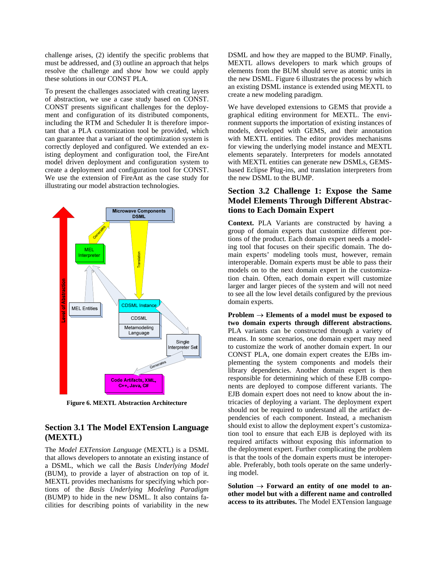challenge arises, (2) identify the specific problems that must be addressed, and (3) outline an approach that helps resolve the challenge and show how we could apply these solutions in our CONST PLA.

To present the challenges associated with creating layers of abstraction, we use a case study based on CONST. CONST presents significant challenges for the deployment and configuration of its distributed components, including the RTM and Scheduler It is therefore important that a PLA customization tool be provided, which can guarantee that a variant of the optimization system is correctly deployed and configured. We extended an existing deployment and configuration tool, the FireAnt model driven deployment and configuration system to create a deployment and configuration tool for CONST. We use the extension of FireAnt as the case study for illustrating our model abstraction technologies.



**Figure 6. MEXTL Abstraction Architecture**

### **Section 3.1 The Model EXTension Language (MEXTL)**

The *Model EXTension Language* (MEXTL) is a DSML that allows developers to annotate an existing instance of a DSML, which we call the *Basis Underlying Model* (BUM), to provide a layer of abstraction on top of it. MEXTL provides mechanisms for specifying which portions of the *Basis Underlying Modeling Paradigm* (BUMP) to hide in the new DSML. It also contains facilities for describing points of variability in the new

DSML and how they are mapped to the BUMP. Finally, MEXTL allows developers to mark which groups of elements from the BUM should serve as atomic units in the new DSML. Figure 6 illustrates the process by which an existing DSML instance is extended using MEXTL to create a new modeling paradigm.

We have developed extensions to GEMS that provide a graphical editing environment for MEXTL. The environment supports the importation of existing instances of models, developed with GEMS, and their annotation with MEXTL entities. The editor provides mechanisms for viewing the underlying model instance and MEXTL elements separately. Interpreters for models annotated with MEXTL entities can generate new DSMLs, GEMSbased Eclipse Plug-ins, and translation interpreters from the new DSML to the BUMP.

## **Section 3.2 Challenge 1: Expose the Same Model Elements Through Different Abstractions to Each Domain Expert**

**Context.** PLA Variants are constructed by having a group of domain experts that customize different portions of the product. Each domain expert needs a modeling tool that focuses on their specific domain. The domain experts' modeling tools must, however, remain interoperable. Domain experts must be able to pass their models on to the next domain expert in the customization chain. Often, each domain expert will customize larger and larger pieces of the system and will not need to see all the low level details configured by the previous domain experts.

**Problem** → **Elements of a model must be exposed to two domain experts through different abstractions.** PLA variants can be constructed through a variety of means. In some scenarios, one domain expert may need to customize the work of another domain expert. In our CONST PLA, one domain expert creates the EJBs implementing the system components and models their library dependencies. Another domain expert is then responsible for determining which of these EJB components are deployed to compose different variants. The EJB domain expert does not need to know about the intricacies of deploying a variant. The deployment expert should not be required to understand all the artifact dependencies of each component. Instead, a mechanism should exist to allow the deployment expert's customization tool to ensure that each EJB is deployed with its required artifacts without exposing this information to the deployment expert. Further complicating the problem is that the tools of the domain experts must be interoperable. Preferably, both tools operate on the same underlying model.

Solution  $\rightarrow$  Forward an entity of one model to an**other model but with a different name and controlled access to its attributes.** The Model EXTension language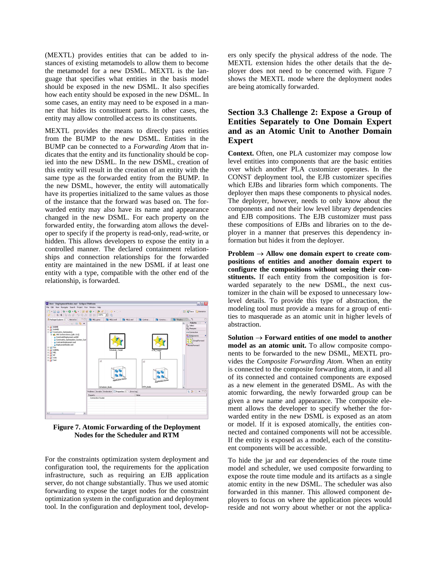(MEXTL) provides entities that can be added to instances of existing metamodels to allow them to become the metamodel for a new DSML. MEXTL is the language that specifies what entities in the basis model should be exposed in the new DSML. It also specifies how each entity should be exposed in the new DSML. In some cases, an entity may need to be exposed in a manner that hides its constituent parts. In other cases, the entity may allow controlled access to its constituents.

MEXTL provides the means to directly pass entities from the BUMP to the new DSML. Entities in the BUMP can be connected to a *Forwarding Atom* that indicates that the entity and its functionality should be copied into the new DSML. In the new DSML, creation of this entity will result in the creation of an entity with the same type as the forwarded entity from the BUMP. In the new DSML, however, the entity will automatically have its properties initialized to the same values as those of the instance that the forward was based on. The forwarded entity may also have its name and appearance changed in the new DSML. For each property on the forwarded entity, the forwarding atom allows the developer to specify if the property is read-only, read-write, or hidden. This allows developers to expose the entity in a controlled manner. The declared containment relationships and connection relationships for the forwarded entity are maintained in the new DSML if at least one entity with a type, compatible with the other end of the relationship, is forwarded.



**Figure 7. Atomic Forwarding of the Deployment Nodes for the Scheduler and RTM** 

For the constraints optimization system deployment and configuration tool, the requirements for the application infrastructure, such as requiring an EJB application server, do not change substantially. Thus we used atomic forwarding to expose the target nodes for the constraint optimization system in the configuration and deployment tool. In the configuration and deployment tool, developers only specify the physical address of the node. The MEXTL extension hides the other details that the deployer does not need to be concerned with. Figure 7 shows the MEXTL mode where the deployment nodes are being atomically forwarded.

## **Section 3.3 Challenge 2: Expose a Group of Entities Separately to One Domain Expert and as an Atomic Unit to Another Domain Expert**

**Context.** Often, one PLA customizer may compose low level entities into components that are the basic entities over which another PLA customizer operates. In the CONST deployment tool, the EJB customizer specifies which EJBs and libraries form which components. The deployer then maps these components to physical nodes. The deployer, however, needs to only know about the components and not their low level library dependencies and EJB compositions. The EJB customizer must pass these compositions of EJBs and libraries on to the deployer in a manner that preserves this dependency information but hides it from the deployer.

**Problem** → **Allow one domain expert to create compositions of entities and another domain expert to configure the compositions without seeing their constituents.** If each entity from the composition is forwarded separately to the new DSML, the next customizer in the chain will be exposed to unnecessary lowlevel details. To provide this type of abstraction, the modeling tool must provide a means for a group of entities to masquerade as an atomic unit in higher levels of abstraction.

**Solution**  $\rightarrow$  **Forward entities of one model to another model as an atomic unit.** To allow composite components to be forwarded to the new DSML, MEXTL provides the *Composite Forwarding Atom*. When an entity is connected to the composite forwarding atom, it and all of its connected and contained components are exposed as a new element in the generated DSML. As with the atomic forwarding, the newly forwarded group can be given a new name and appearance. The composite element allows the developer to specify whether the forwarded entity in the new DSML is exposed as an atom or model. If it is exposed atomically, the entities connected and contained components will not be accessible. If the entity is exposed as a model, each of the constituent components will be accessible.

To hide the jar and ear dependencies of the route time model and scheduler, we used composite forwarding to expose the route time module and its artifacts as a single atomic entity in the new DSML. The scheduler was also forwarded in this manner. This allowed component deployers to focus on where the application pieces would reside and not worry about whether or not the applica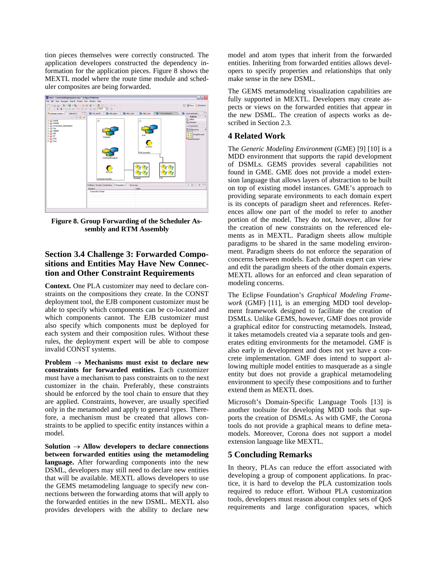tion pieces themselves were correctly constructed. The application developers constructed the dependency information for the application pieces. Figure 8 shows the MEXTL model where the route time module and scheduler composites are being forwarded.



**Figure 8. Group Forwarding of the Scheduler Assembly and RTM Assembly**

# **Section 3.4 Challenge 3: Forwarded Compositions and Entities May Have New Connection and Other Constraint Requirements**

**Context.** One PLA customizer may need to declare constraints on the compositions they create. In the CONST deployment tool, the EJB component customizer must be able to specify which components can be co-located and which components cannot. The EJB customizer must also specify which components must be deployed for each system and their composition rules. Without these rules, the deployment expert will be able to compose invalid CONST systems.

**Problem** → **Mechanisms must exist to declare new constraints for forwarded entities.** Each customizer must have a mechanism to pass constraints on to the next customizer in the chain. Preferably, these constraints should be enforced by the tool chain to ensure that they are applied. Constraints, however, are usually specified only in the metamodel and apply to general types. Therefore, a mechanism must be created that allows constraints to be applied to specific entity instances within a model.

Solution  $\rightarrow$  Allow developers to declare connections **between forwarded entities using the metamodeling language.** After forwarding components into the new DSML, developers may still need to declare new entities that will be available. MEXTL allows developers to use the GEMS metamodeling language to specify new connections between the forwarding atoms that will apply to the forwarded entities in the new DSML. MEXTL also provides developers with the ability to declare new model and atom types that inherit from the forwarded entities. Inheriting from forwarded entities allows developers to specify properties and relationships that only make sense in the new DSML.

The GEMS metamodeling visualization capabilities are fully supported in MEXTL. Developers may create aspects or views on the forwarded entities that appear in the new DSML. The creation of aspects works as described in Section 2.3.

### **4 Related Work**

The *Generic Modeling Environment* (GME) [9] [10] is a MDD environment that supports the rapid development of DSMLs. GEMS provides several capabilities not found in GME. GME does not provide a model extension language that allows layers of abstraction to be built on top of existing model instances. GME's approach to providing separate environments to each domain expert is its concepts of paradigm sheet and references. References allow one part of the model to refer to another portion of the model. They do not, however, allow for the creation of new constraints on the referenced elements as in MEXTL. Paradigm sheets allow multiple paradigms to be shared in the same modeling environment. Paradigm sheets do not enforce the separation of concerns between models. Each domain expert can view and edit the paradigm sheets of the other domain experts. MEXTL allows for an enforced and clean separation of modeling concerns.

The Eclipse Foundation's *Graphical Modeling Framework* (GMF) [11], is an emerging MDD tool development framework designed to facilitate the creation of DSMLs. Unlike GEMS, however, GMF does not provide a graphical editor for constructing metamodels. Instead, it takes metamodels created via a separate tools and generates editing environments for the metamodel. GMF is also early in development and does not yet have a concrete implementation. GMF does intend to support allowing multiple model entities to masquerade as a single entity but does not provide a graphical metamodeling environment to specify these compositions and to further extend them as MEXTL does.

Microsoft's Domain-Specific Language Tools [13] is another toolsuite for developing MDD tools that supports the creation of DSMLs. As with GMF, the Corona tools do not provide a graphical means to define metamodels. Moreover, Corona does not support a model extension language like MEXTL.

### **5 Concluding Remarks**

In theory, PLAs can reduce the effort associated with developing a group of component applications. In practice, it is hard to develop the PLA customization tools required to reduce effort. Without PLA customization tools, developers must reason about complex sets of QoS requirements and large configuration spaces, which